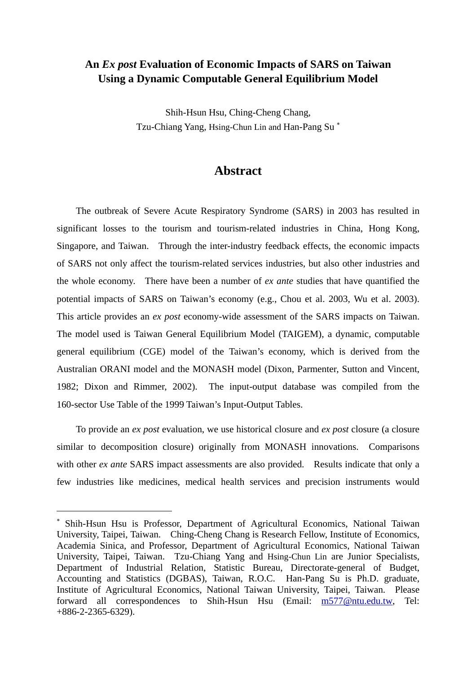# **An** *Ex post* **Evaluation of Economic Impacts of SARS on Taiwan Using a Dynamic Computable General Equilibrium Model**

Shih-Hsun Hsu, Ching-Cheng Chang, Tzu-Chiang Yang, Hsing-Chun Lin and Han-Pang Su<sup>\*</sup>

# **Abstract**

The outbreak of Severe Acute Respiratory Syndrome (SARS) in 2003 has resulted in significant losses to the tourism and tourism-related industries in China, Hong Kong, Singapore, and Taiwan. Through the inter-industry feedback effects, the economic impacts of SARS not only affect the tourism-related services industries, but also other industries and the whole economy. There have been a number of *ex ante* studies that have quantified the potential impacts of SARS on Taiwan's economy (e.g., Chou et al. 2003, Wu et al. 2003). This article provides an *ex post* economy-wide assessment of the SARS impacts on Taiwan. The model used is Taiwan General Equilibrium Model (TAIGEM), a dynamic, computable general equilibrium (CGE) model of the Taiwan's economy, which is derived from the Australian ORANI model and the MONASH model (Dixon, Parmenter, Sutton and Vincent, 1982; Dixon and Rimmer, 2002). The input-output database was compiled from the 160-sector Use Table of the 1999 Taiwan's Input-Output Tables.

To provide an *ex post* evaluation, we use historical closure and *ex post* closure (a closure similar to decomposition closure) originally from MONASH innovations. Comparisons with other *ex ante* SARS impact assessments are also provided. Results indicate that only a few industries like medicines, medical health services and precision instruments would

 $\overline{a}$ 

<sup>∗</sup> Shih-Hsun Hsu is Professor, Department of Agricultural Economics, National Taiwan University, Taipei, Taiwan. Ching-Cheng Chang is Research Fellow, Institute of Economics, Academia Sinica, and Professor, Department of Agricultural Economics, National Taiwan University, Taipei, Taiwan. Tzu-Chiang Yang and Hsing-Chun Lin are Junior Specialists, Department of Industrial Relation, Statistic Bureau, Directorate-general of Budget, Accounting and Statistics (DGBAS), Taiwan, R.O.C. Han-Pang Su is Ph.D. graduate, Institute of Agricultural Economics, National Taiwan University, Taipei, Taiwan. Please forward all correspondences to Shih-Hsun Hsu (Email: m577@ntu.edu.tw, Tel: +886-2-2365-6329).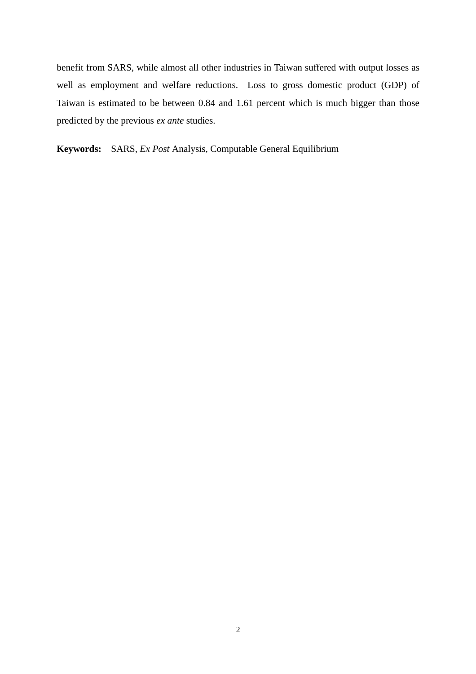benefit from SARS, while almost all other industries in Taiwan suffered with output losses as well as employment and welfare reductions. Loss to gross domestic product (GDP) of Taiwan is estimated to be between 0.84 and 1.61 percent which is much bigger than those predicted by the previous *ex ante* studies.

**Keywords:** SARS, *Ex Post* Analysis, Computable General Equilibrium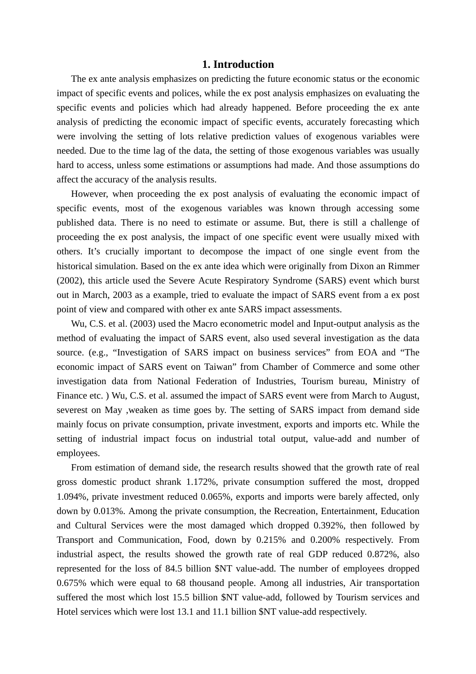# **1. Introduction**

The ex ante analysis emphasizes on predicting the future economic status or the economic impact of specific events and polices, while the ex post analysis emphasizes on evaluating the specific events and policies which had already happened. Before proceeding the ex ante analysis of predicting the economic impact of specific events, accurately forecasting which were involving the setting of lots relative prediction values of exogenous variables were needed. Due to the time lag of the data, the setting of those exogenous variables was usually hard to access, unless some estimations or assumptions had made. And those assumptions do affect the accuracy of the analysis results.

However, when proceeding the ex post analysis of evaluating the economic impact of specific events, most of the exogenous variables was known through accessing some published data. There is no need to estimate or assume. But, there is still a challenge of proceeding the ex post analysis, the impact of one specific event were usually mixed with others. It's crucially important to decompose the impact of one single event from the historical simulation. Based on the ex ante idea which were originally from Dixon an Rimmer (2002), this article used the Severe Acute Respiratory Syndrome (SARS) event which burst out in March, 2003 as a example, tried to evaluate the impact of SARS event from a ex post point of view and compared with other ex ante SARS impact assessments.

Wu, C.S. et al. (2003) used the Macro econometric model and Input-output analysis as the method of evaluating the impact of SARS event, also used several investigation as the data source. (e.g., "Investigation of SARS impact on business services" from EOA and "The economic impact of SARS event on Taiwan" from Chamber of Commerce and some other investigation data from National Federation of Industries, Tourism bureau, Ministry of Finance etc. ) Wu, C.S. et al. assumed the impact of SARS event were from March to August, severest on May ,weaken as time goes by. The setting of SARS impact from demand side mainly focus on private consumption, private investment, exports and imports etc. While the setting of industrial impact focus on industrial total output, value-add and number of employees.

From estimation of demand side, the research results showed that the growth rate of real gross domestic product shrank 1.172%, private consumption suffered the most, dropped 1.094%, private investment reduced 0.065%, exports and imports were barely affected, only down by 0.013%. Among the private consumption, the Recreation, Entertainment, Education and Cultural Services were the most damaged which dropped 0.392%, then followed by Transport and Communication, Food, down by 0.215% and 0.200% respectively. From industrial aspect, the results showed the growth rate of real GDP reduced 0.872%, also represented for the loss of 84.5 billion \$NT value-add. The number of employees dropped 0.675% which were equal to 68 thousand people. Among all industries, Air transportation suffered the most which lost 15.5 billion \$NT value-add, followed by Tourism services and Hotel services which were lost 13.1 and 11.1 billion \$NT value-add respectively.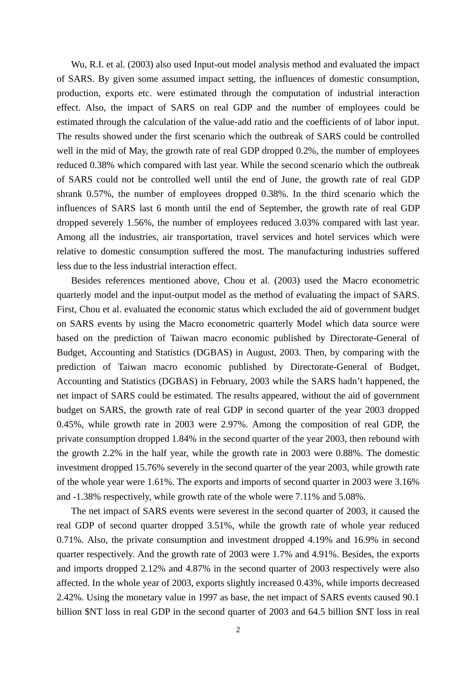Wu, R.I. et al. (2003) also used Input-out model analysis method and evaluated the impact of SARS. By given some assumed impact setting, the influences of domestic consumption, production, exports etc. were estimated through the computation of industrial interaction effect. Also, the impact of SARS on real GDP and the number of employees could be estimated through the calculation of the value-add ratio and the coefficients of of labor input. The results showed under the first scenario which the outbreak of SARS could be controlled well in the mid of May, the growth rate of real GDP dropped 0.2%, the number of employees reduced 0.38% which compared with last year. While the second scenario which the outbreak of SARS could not be controlled well until the end of June, the growth rate of real GDP shrank 0.57%, the number of employees dropped 0.38%. In the third scenario which the influences of SARS last 6 month until the end of September, the growth rate of real GDP dropped severely 1.56%, the number of employees reduced 3.03% compared with last year. Among all the industries, air transportation, travel services and hotel services which were relative to domestic consumption suffered the most. The manufacturing industries suffered less due to the less industrial interaction effect.

Besides references mentioned above, Chou et al. (2003) used the Macro econometric quarterly model and the input-output model as the method of evaluating the impact of SARS. First, Chou et al. evaluated the economic status which excluded the aid of government budget on SARS events by using the Macro econometric quarterly Model which data source were based on the prediction of Taiwan macro economic published by Directorate-General of Budget, Accounting and Statistics (DGBAS) in August, 2003. Then, by comparing with the prediction of Taiwan macro economic published by Directorate-General of Budget, Accounting and Statistics (DGBAS) in February, 2003 while the SARS hadn't happened, the net impact of SARS could be estimated. The results appeared, without the aid of government budget on SARS, the growth rate of real GDP in second quarter of the year 2003 dropped 0.45%, while growth rate in 2003 were 2.97%. Among the composition of real GDP, the private consumption dropped 1.84% in the second quarter of the year 2003, then rebound with the growth 2.2% in the half year, while the growth rate in 2003 were 0.88%. The domestic investment dropped 15.76% severely in the second quarter of the year 2003, while growth rate of the whole year were 1.61%. The exports and imports of second quarter in 2003 were 3.16% and -1.38% respectively, while growth rate of the whole were 7.11% and 5.08%.

The net impact of SARS events were severest in the second quarter of 2003, it caused the real GDP of second quarter dropped 3.51%, while the growth rate of whole year reduced 0.71%. Also, the private consumption and investment dropped 4.19% and 16.9% in second quarter respectively. And the growth rate of 2003 were 1.7% and 4.91%. Besides, the exports and imports dropped 2.12% and 4.87% in the second quarter of 2003 respectively were also affected. In the whole year of 2003, exports slightly increased 0.43%, while imports decreased 2.42%. Using the monetary value in 1997 as base, the net impact of SARS events caused 90.1 billion \$NT loss in real GDP in the second quarter of 2003 and 64.5 billion \$NT loss in real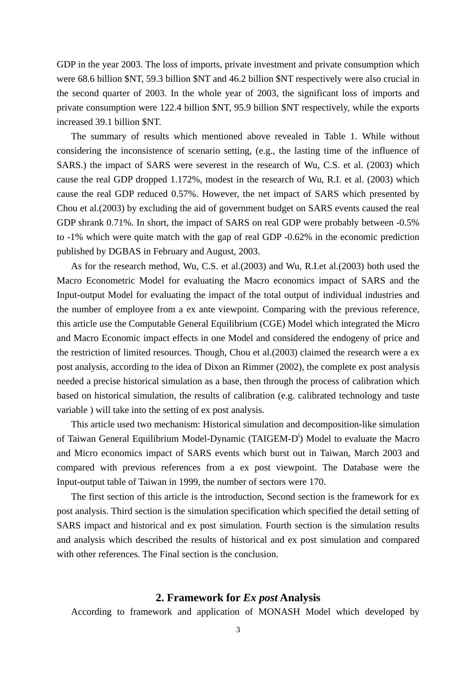GDP in the year 2003. The loss of imports, private investment and private consumption which were 68.6 billion \$NT, 59.3 billion \$NT and 46.2 billion \$NT respectively were also crucial in the second quarter of 2003. In the whole year of 2003, the significant loss of imports and private consumption were 122.4 billion \$NT, 95.9 billion \$NT respectively, while the exports increased 39.1 billion \$NT.

The summary of results which mentioned above revealed in Table 1. While without considering the inconsistence of scenario setting, (e.g., the lasting time of the influence of SARS.) the impact of SARS were severest in the research of Wu, C.S. et al. (2003) which cause the real GDP dropped 1.172%, modest in the research of Wu, R.I. et al. (2003) which cause the real GDP reduced 0.57%. However, the net impact of SARS which presented by Chou et al.(2003) by excluding the aid of government budget on SARS events caused the real GDP shrank 0.71%. In short, the impact of SARS on real GDP were probably between -0.5% to -1% which were quite match with the gap of real GDP -0.62% in the economic prediction published by DGBAS in February and August, 2003.

As for the research method, Wu, C.S. et al.(2003) and Wu, R.I.et al.(2003) both used the Macro Econometric Model for evaluating the Macro economics impact of SARS and the Input-output Model for evaluating the impact of the total output of individual industries and the number of employee from a ex ante viewpoint. Comparing with the previous reference, this article use the Computable General Equilibrium (CGE) Model which integrated the Micro and Macro Economic impact effects in one Model and considered the endogeny of price and the restriction of limited resources. Though, Chou et al.(2003) claimed the research were a ex post analysis, according to the idea of Dixon an Rimmer (2002), the complete ex post analysis needed a precise historical simulation as a base, then through the process of calibration which based on historical simulation, the results of calibration (e.g. calibrated technology and taste variable ) will take into the setting of ex post analysis.

This article used two mechanism: Historical simulation and decomposition-like simulation of Taiwan General Equilibrium Model-Dynamic (TAIGEM-D<sup>i</sup>) Model to evaluate the Macro and Micro economics impact of SARS events which burst out in Taiwan, March 2003 and compared with previous references from a ex post viewpoint. The Database were the Input-output table of Taiwan in 1999, the number of sectors were 170.

The first section of this article is the introduction, Second section is the framework for ex post analysis. Third section is the simulation specification which specified the detail setting of SARS impact and historical and ex post simulation. Fourth section is the simulation results and analysis which described the results of historical and ex post simulation and compared with other references. The Final section is the conclusion.

# **2. Framework for** *Ex post* **Analysis**

According to framework and application of MONASH Model which developed by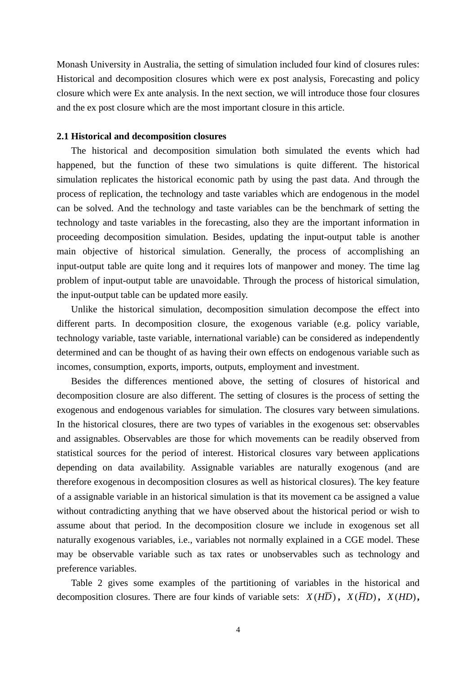Monash University in Australia, the setting of simulation included four kind of closures rules: Historical and decomposition closures which were ex post analysis, Forecasting and policy closure which were Ex ante analysis. In the next section, we will introduce those four closures and the ex post closure which are the most important closure in this article.

## **2.1 Historical and decomposition closures**

The historical and decomposition simulation both simulated the events which had happened, but the function of these two simulations is quite different. The historical simulation replicates the historical economic path by using the past data. And through the process of replication, the technology and taste variables which are endogenous in the model can be solved. And the technology and taste variables can be the benchmark of setting the technology and taste variables in the forecasting, also they are the important information in proceeding decomposition simulation. Besides, updating the input-output table is another main objective of historical simulation. Generally, the process of accomplishing an input-output table are quite long and it requires lots of manpower and money. The time lag problem of input-output table are unavoidable. Through the process of historical simulation, the input-output table can be updated more easily.

Unlike the historical simulation, decomposition simulation decompose the effect into different parts. In decomposition closure, the exogenous variable (e.g. policy variable, technology variable, taste variable, international variable) can be considered as independently determined and can be thought of as having their own effects on endogenous variable such as incomes, consumption, exports, imports, outputs, employment and investment.

Besides the differences mentioned above, the setting of closures of historical and decomposition closure are also different. The setting of closures is the process of setting the exogenous and endogenous variables for simulation. The closures vary between simulations. In the historical closures, there are two types of variables in the exogenous set: observables and assignables. Observables are those for which movements can be readily observed from statistical sources for the period of interest. Historical closures vary between applications depending on data availability. Assignable variables are naturally exogenous (and are therefore exogenous in decomposition closures as well as historical closures). The key feature of a assignable variable in an historical simulation is that its movement ca be assigned a value without contradicting anything that we have observed about the historical period or wish to assume about that period. In the decomposition closure we include in exogenous set all naturally exogenous variables, i.e., variables not normally explained in a CGE model. These may be observable variable such as tax rates or unobservables such as technology and preference variables.

Table 2 gives some examples of the partitioning of variables in the historical and decomposition closures. There are four kinds of variable sets:  $X(H\overline{D})$ ,  $X(\overline{H}D)$ ,  $X(HD)$ ,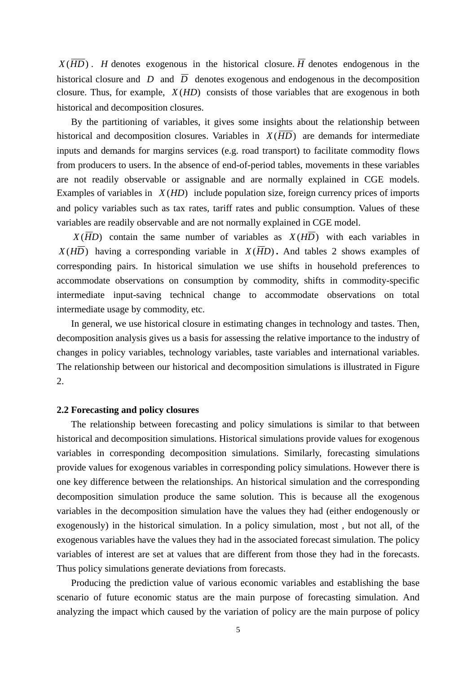$X(\overline{HD})$ . *H* denotes exogenous in the historical closure.  $\overline{H}$  denotes endogenous in the historical closure and *D* and  $\overline{D}$  denotes exogenous and endogenous in the decomposition closure. Thus, for example, *X* (*HD*) consists of those variables that are exogenous in both historical and decomposition closures.

By the partitioning of variables, it gives some insights about the relationship between historical and decomposition closures. Variables in  $X(\overline{HD})$  are demands for intermediate inputs and demands for margins services (e.g. road transport) to facilitate commodity flows from producers to users. In the absence of end-of-period tables, movements in these variables are not readily observable or assignable and are normally explained in CGE models. Examples of variables in *X* (*HD*) include population size, foreign currency prices of imports and policy variables such as tax rates, tariff rates and public consumption. Values of these variables are readily observable and are not normally explained in CGE model.

 $X(\overline{HD})$  contain the same number of variables as  $X(H\overline{D})$  with each variables in  $X(H\overline{D})$  having a corresponding variable in  $X(\overline{H}D)$ . And tables 2 shows examples of corresponding pairs. In historical simulation we use shifts in household preferences to accommodate observations on consumption by commodity, shifts in commodity-specific intermediate input-saving technical change to accommodate observations on total intermediate usage by commodity, etc.

In general, we use historical closure in estimating changes in technology and tastes. Then, decomposition analysis gives us a basis for assessing the relative importance to the industry of changes in policy variables, technology variables, taste variables and international variables. The relationship between our historical and decomposition simulations is illustrated in Figure 2.

### **2.2 Forecasting and policy closures**

The relationship between forecasting and policy simulations is similar to that between historical and decomposition simulations. Historical simulations provide values for exogenous variables in corresponding decomposition simulations. Similarly, forecasting simulations provide values for exogenous variables in corresponding policy simulations. However there is one key difference between the relationships. An historical simulation and the corresponding decomposition simulation produce the same solution. This is because all the exogenous variables in the decomposition simulation have the values they had (either endogenously or exogenously) in the historical simulation. In a policy simulation, most , but not all, of the exogenous variables have the values they had in the associated forecast simulation. The policy variables of interest are set at values that are different from those they had in the forecasts. Thus policy simulations generate deviations from forecasts.

Producing the prediction value of various economic variables and establishing the base scenario of future economic status are the main purpose of forecasting simulation. And analyzing the impact which caused by the variation of policy are the main purpose of policy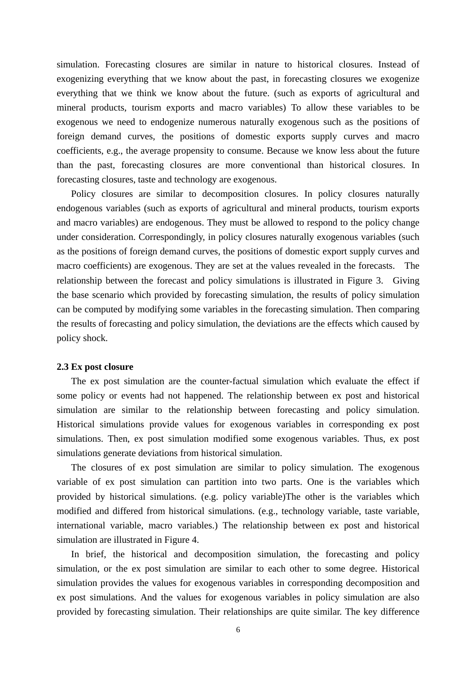simulation. Forecasting closures are similar in nature to historical closures. Instead of exogenizing everything that we know about the past, in forecasting closures we exogenize everything that we think we know about the future. (such as exports of agricultural and mineral products, tourism exports and macro variables) To allow these variables to be exogenous we need to endogenize numerous naturally exogenous such as the positions of foreign demand curves, the positions of domestic exports supply curves and macro coefficients, e.g., the average propensity to consume. Because we know less about the future than the past, forecasting closures are more conventional than historical closures. In forecasting closures, taste and technology are exogenous.

Policy closures are similar to decomposition closures. In policy closures naturally endogenous variables (such as exports of agricultural and mineral products, tourism exports and macro variables) are endogenous. They must be allowed to respond to the policy change under consideration. Correspondingly, in policy closures naturally exogenous variables (such as the positions of foreign demand curves, the positions of domestic export supply curves and macro coefficients) are exogenous. They are set at the values revealed in the forecasts. The relationship between the forecast and policy simulations is illustrated in Figure 3. Giving the base scenario which provided by forecasting simulation, the results of policy simulation can be computed by modifying some variables in the forecasting simulation. Then comparing the results of forecasting and policy simulation, the deviations are the effects which caused by policy shock.

# **2.3 Ex post closure**

The ex post simulation are the counter-factual simulation which evaluate the effect if some policy or events had not happened. The relationship between ex post and historical simulation are similar to the relationship between forecasting and policy simulation. Historical simulations provide values for exogenous variables in corresponding ex post simulations. Then, ex post simulation modified some exogenous variables. Thus, ex post simulations generate deviations from historical simulation.

The closures of ex post simulation are similar to policy simulation. The exogenous variable of ex post simulation can partition into two parts. One is the variables which provided by historical simulations. (e.g. policy variable)The other is the variables which modified and differed from historical simulations. (e.g., technology variable, taste variable, international variable, macro variables.) The relationship between ex post and historical simulation are illustrated in Figure 4.

In brief, the historical and decomposition simulation, the forecasting and policy simulation, or the ex post simulation are similar to each other to some degree. Historical simulation provides the values for exogenous variables in corresponding decomposition and ex post simulations. And the values for exogenous variables in policy simulation are also provided by forecasting simulation. Their relationships are quite similar. The key difference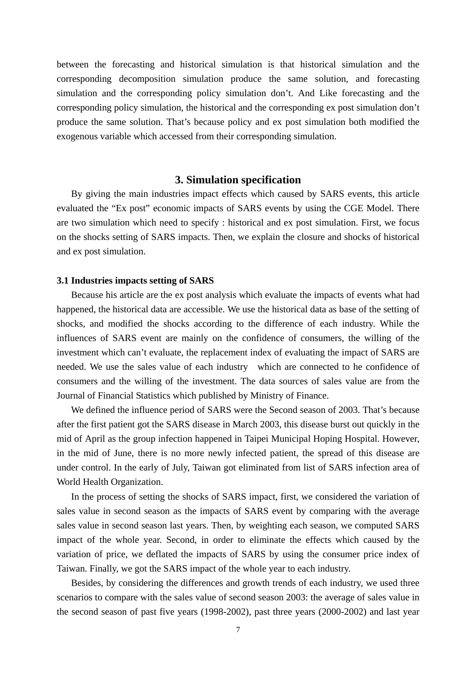between the forecasting and historical simulation is that historical simulation and the corresponding decomposition simulation produce the same solution, and forecasting simulation and the corresponding policy simulation don't. And Like forecasting and the corresponding policy simulation, the historical and the corresponding ex post simulation don't produce the same solution. That's because policy and ex post simulation both modified the exogenous variable which accessed from their corresponding simulation.

## **3. Simulation specification**

By giving the main industries impact effects which caused by SARS events, this article evaluated the "Ex post" economic impacts of SARS events by using the CGE Model. There are two simulation which need to specify : historical and ex post simulation. First, we focus on the shocks setting of SARS impacts. Then, we explain the closure and shocks of historical and ex post simulation.

## **3.1 Industries impacts setting of SARS**

Because his article are the ex post analysis which evaluate the impacts of events what had happened, the historical data are accessible. We use the historical data as base of the setting of shocks, and modified the shocks according to the difference of each industry. While the influences of SARS event are mainly on the confidence of consumers, the willing of the investment which can't evaluate, the replacement index of evaluating the impact of SARS are needed. We use the sales value of each industry which are connected to he confidence of consumers and the willing of the investment. The data sources of sales value are from the Journal of Financial Statistics which published by Ministry of Finance.

We defined the influence period of SARS were the Second season of 2003. That's because after the first patient got the SARS disease in March 2003, this disease burst out quickly in the mid of April as the group infection happened in Taipei Municipal Hoping Hospital. However, in the mid of June, there is no more newly infected patient, the spread of this disease are under control. In the early of July, Taiwan got eliminated from list of SARS infection area of World Health Organization.

In the process of setting the shocks of SARS impact, first, we considered the variation of sales value in second season as the impacts of SARS event by comparing with the average sales value in second season last years. Then, by weighting each season, we computed SARS impact of the whole year. Second, in order to eliminate the effects which caused by the variation of price, we deflated the impacts of SARS by using the consumer price index of Taiwan. Finally, we got the SARS impact of the whole year to each industry.

Besides, by considering the differences and growth trends of each industry, we used three scenarios to compare with the sales value of second season 2003: the average of sales value in the second season of past five years (1998-2002), past three years (2000-2002) and last year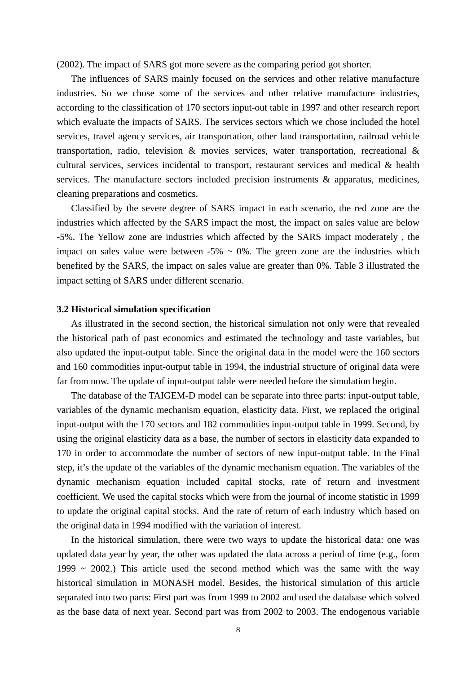(2002). The impact of SARS got more severe as the comparing period got shorter.

The influences of SARS mainly focused on the services and other relative manufacture industries. So we chose some of the services and other relative manufacture industries, according to the classification of 170 sectors input-out table in 1997 and other research report which evaluate the impacts of SARS. The services sectors which we chose included the hotel services, travel agency services, air transportation, other land transportation, railroad vehicle transportation, radio, television & movies services, water transportation, recreational & cultural services, services incidental to transport, restaurant services and medical & health services. The manufacture sectors included precision instruments & apparatus, medicines, cleaning preparations and cosmetics.

Classified by the severe degree of SARS impact in each scenario, the red zone are the industries which affected by the SARS impact the most, the impact on sales value are below -5%. The Yellow zone are industries which affected by the SARS impact moderately , the impact on sales value were between  $-5\% \sim 0\%$ . The green zone are the industries which benefited by the SARS, the impact on sales value are greater than 0%. Table 3 illustrated the impact setting of SARS under different scenario.

#### **3.2 Historical simulation specification**

As illustrated in the second section, the historical simulation not only were that revealed the historical path of past economics and estimated the technology and taste variables, but also updated the input-output table. Since the original data in the model were the 160 sectors and 160 commodities input-output table in 1994, the industrial structure of original data were far from now. The update of input-output table were needed before the simulation begin.

The database of the TAIGEM-D model can be separate into three parts: input-output table, variables of the dynamic mechanism equation, elasticity data. First, we replaced the original input-output with the 170 sectors and 182 commodities input-output table in 1999. Second, by using the original elasticity data as a base, the number of sectors in elasticity data expanded to 170 in order to accommodate the number of sectors of new input-output table. In the Final step, it's the update of the variables of the dynamic mechanism equation. The variables of the dynamic mechanism equation included capital stocks, rate of return and investment coefficient. We used the capital stocks which were from the journal of income statistic in 1999 to update the original capital stocks. And the rate of return of each industry which based on the original data in 1994 modified with the variation of interest.

In the historical simulation, there were two ways to update the historical data: one was updated data year by year, the other was updated the data across a period of time (e.g., form 1999  $\sim$  2002.) This article used the second method which was the same with the way historical simulation in MONASH model. Besides, the historical simulation of this article separated into two parts: First part was from 1999 to 2002 and used the database which solved as the base data of next year. Second part was from 2002 to 2003. The endogenous variable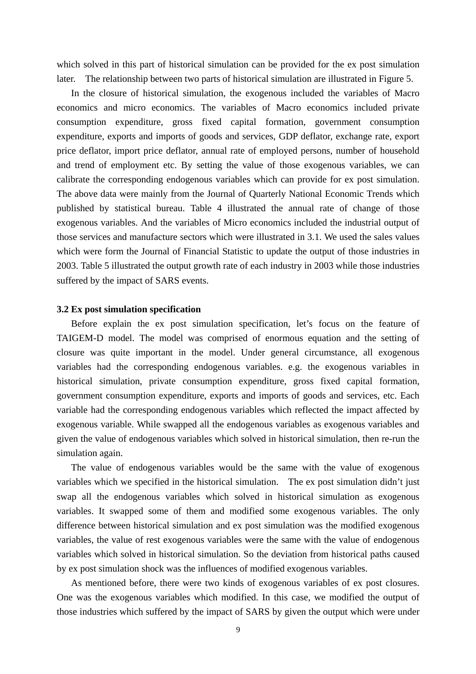which solved in this part of historical simulation can be provided for the ex post simulation later. The relationship between two parts of historical simulation are illustrated in Figure 5.

In the closure of historical simulation, the exogenous included the variables of Macro economics and micro economics. The variables of Macro economics included private consumption expenditure, gross fixed capital formation, government consumption expenditure, exports and imports of goods and services, GDP deflator, exchange rate, export price deflator, import price deflator, annual rate of employed persons, number of household and trend of employment etc. By setting the value of those exogenous variables, we can calibrate the corresponding endogenous variables which can provide for ex post simulation. The above data were mainly from the Journal of Quarterly National Economic Trends which published by statistical bureau. Table 4 illustrated the annual rate of change of those exogenous variables. And the variables of Micro economics included the industrial output of those services and manufacture sectors which were illustrated in 3.1. We used the sales values which were form the Journal of Financial Statistic to update the output of those industries in 2003. Table 5 illustrated the output growth rate of each industry in 2003 while those industries suffered by the impact of SARS events.

#### **3.2 Ex post simulation specification**

Before explain the ex post simulation specification, let's focus on the feature of TAIGEM-D model. The model was comprised of enormous equation and the setting of closure was quite important in the model. Under general circumstance, all exogenous variables had the corresponding endogenous variables. e.g. the exogenous variables in historical simulation, private consumption expenditure, gross fixed capital formation, government consumption expenditure, exports and imports of goods and services, etc. Each variable had the corresponding endogenous variables which reflected the impact affected by exogenous variable. While swapped all the endogenous variables as exogenous variables and given the value of endogenous variables which solved in historical simulation, then re-run the simulation again.

The value of endogenous variables would be the same with the value of exogenous variables which we specified in the historical simulation. The ex post simulation didn't just swap all the endogenous variables which solved in historical simulation as exogenous variables. It swapped some of them and modified some exogenous variables. The only difference between historical simulation and ex post simulation was the modified exogenous variables, the value of rest exogenous variables were the same with the value of endogenous variables which solved in historical simulation. So the deviation from historical paths caused by ex post simulation shock was the influences of modified exogenous variables.

As mentioned before, there were two kinds of exogenous variables of ex post closures. One was the exogenous variables which modified. In this case, we modified the output of those industries which suffered by the impact of SARS by given the output which were under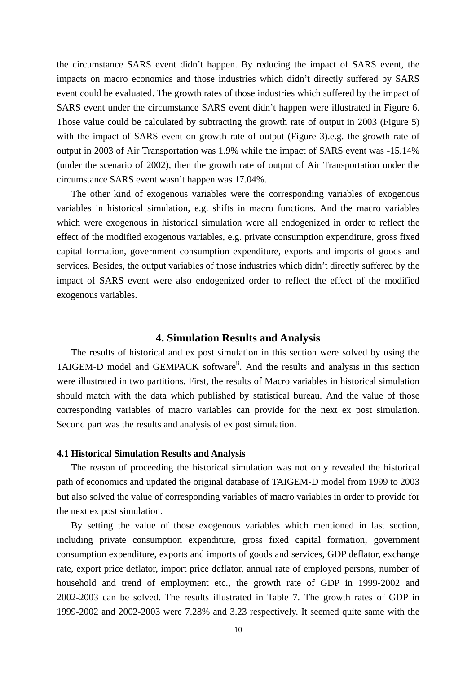the circumstance SARS event didn't happen. By reducing the impact of SARS event, the impacts on macro economics and those industries which didn't directly suffered by SARS event could be evaluated. The growth rates of those industries which suffered by the impact of SARS event under the circumstance SARS event didn't happen were illustrated in Figure 6. Those value could be calculated by subtracting the growth rate of output in 2003 (Figure 5) with the impact of SARS event on growth rate of output (Figure 3).e.g. the growth rate of output in 2003 of Air Transportation was 1.9% while the impact of SARS event was -15.14% (under the scenario of 2002), then the growth rate of output of Air Transportation under the circumstance SARS event wasn't happen was 17.04%.

The other kind of exogenous variables were the corresponding variables of exogenous variables in historical simulation, e.g. shifts in macro functions. And the macro variables which were exogenous in historical simulation were all endogenized in order to reflect the effect of the modified exogenous variables, e.g. private consumption expenditure, gross fixed capital formation, government consumption expenditure, exports and imports of goods and services. Besides, the output variables of those industries which didn't directly suffered by the impact of SARS event were also endogenized order to reflect the effect of the modified exogenous variables.

# **4. Simulation Results and Analysis**

The results of historical and ex post simulation in this section were solved by using the TAIGEM-D model and GEMPACK software<sup>ii</sup>. And the results and analysis in this section were illustrated in two partitions. First, the results of Macro variables in historical simulation should match with the data which published by statistical bureau. And the value of those corresponding variables of macro variables can provide for the next ex post simulation. Second part was the results and analysis of ex post simulation.

## **4.1 Historical Simulation Results and Analysis**

The reason of proceeding the historical simulation was not only revealed the historical path of economics and updated the original database of TAIGEM-D model from 1999 to 2003 but also solved the value of corresponding variables of macro variables in order to provide for the next ex post simulation.

By setting the value of those exogenous variables which mentioned in last section, including private consumption expenditure, gross fixed capital formation, government consumption expenditure, exports and imports of goods and services, GDP deflator, exchange rate, export price deflator, import price deflator, annual rate of employed persons, number of household and trend of employment etc., the growth rate of GDP in 1999-2002 and 2002-2003 can be solved. The results illustrated in Table 7. The growth rates of GDP in 1999-2002 and 2002-2003 were 7.28% and 3.23 respectively. It seemed quite same with the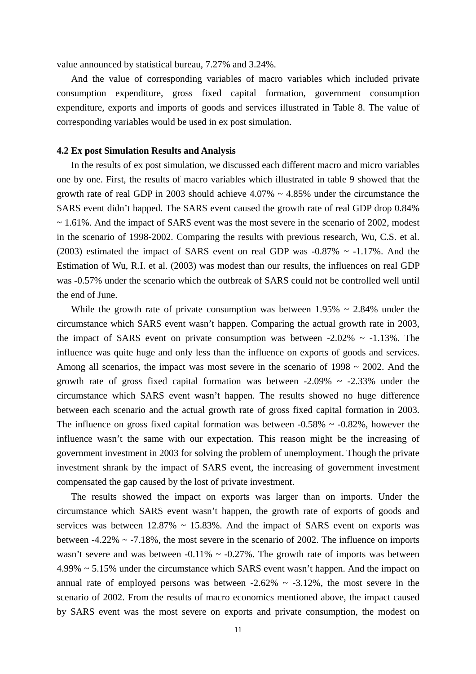value announced by statistical bureau, 7.27% and 3.24%.

And the value of corresponding variables of macro variables which included private consumption expenditure, gross fixed capital formation, government consumption expenditure, exports and imports of goods and services illustrated in Table 8. The value of corresponding variables would be used in ex post simulation.

## **4.2 Ex post Simulation Results and Analysis**

In the results of ex post simulation, we discussed each different macro and micro variables one by one. First, the results of macro variables which illustrated in table 9 showed that the growth rate of real GDP in 2003 should achieve  $4.07\% \sim 4.85\%$  under the circumstance the SARS event didn't happed. The SARS event caused the growth rate of real GDP drop 0.84%  $\sim$  1.61%. And the impact of SARS event was the most severe in the scenario of 2002, modest in the scenario of 1998-2002. Comparing the results with previous research, Wu, C.S. et al. (2003) estimated the impact of SARS event on real GDP was  $-0.87\% \sim -1.17\%$ . And the Estimation of Wu, R.I. et al. (2003) was modest than our results, the influences on real GDP was -0.57% under the scenario which the outbreak of SARS could not be controlled well until the end of June.

While the growth rate of private consumption was between  $1.95\% \sim 2.84\%$  under the circumstance which SARS event wasn't happen. Comparing the actual growth rate in 2003, the impact of SARS event on private consumption was between  $-2.02\% \sim -1.13\%$ . The influence was quite huge and only less than the influence on exports of goods and services. Among all scenarios, the impact was most severe in the scenario of 1998 ~ 2002. And the growth rate of gross fixed capital formation was between  $-2.09\% \sim -2.33\%$  under the circumstance which SARS event wasn't happen. The results showed no huge difference between each scenario and the actual growth rate of gross fixed capital formation in 2003. The influence on gross fixed capital formation was between  $-0.58\% \sim -0.82\%$ , however the influence wasn't the same with our expectation. This reason might be the increasing of government investment in 2003 for solving the problem of unemployment. Though the private investment shrank by the impact of SARS event, the increasing of government investment compensated the gap caused by the lost of private investment.

The results showed the impact on exports was larger than on imports. Under the circumstance which SARS event wasn't happen, the growth rate of exports of goods and services was between  $12.87\% \sim 15.83\%$ . And the impact of SARS event on exports was between  $-4.22\% \sim -7.18\%$ , the most severe in the scenario of 2002. The influence on imports wasn't severe and was between  $-0.11\% \sim -0.27\%$ . The growth rate of imports was between 4.99% ~ 5.15% under the circumstance which SARS event wasn't happen. And the impact on annual rate of employed persons was between  $-2.62\% \sim -3.12\%$ , the most severe in the scenario of 2002. From the results of macro economics mentioned above, the impact caused by SARS event was the most severe on exports and private consumption, the modest on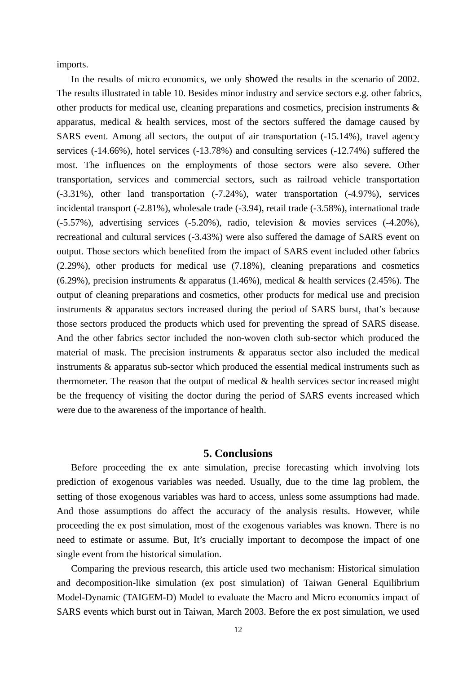imports.

In the results of micro economics, we only showed the results in the scenario of 2002. The results illustrated in table 10. Besides minor industry and service sectors e.g. other fabrics, other products for medical use, cleaning preparations and cosmetics, precision instruments  $\&$ apparatus, medical & health services, most of the sectors suffered the damage caused by SARS event. Among all sectors, the output of air transportation (-15.14%), travel agency services (-14.66%), hotel services (-13.78%) and consulting services (-12.74%) suffered the most. The influences on the employments of those sectors were also severe. Other transportation, services and commercial sectors, such as railroad vehicle transportation (-3.31%), other land transportation (-7.24%), water transportation (-4.97%), services incidental transport (-2.81%), wholesale trade (-3.94), retail trade (-3.58%), international trade (-5.57%), advertising services (-5.20%), radio, television & movies services (-4.20%), recreational and cultural services (-3.43%) were also suffered the damage of SARS event on output. Those sectors which benefited from the impact of SARS event included other fabrics (2.29%), other products for medical use (7.18%), cleaning preparations and cosmetics  $(6.29\%)$ , precision instruments & apparatus  $(1.46\%)$ , medical & health services  $(2.45\%)$ . The output of cleaning preparations and cosmetics, other products for medical use and precision instruments & apparatus sectors increased during the period of SARS burst, that's because those sectors produced the products which used for preventing the spread of SARS disease. And the other fabrics sector included the non-woven cloth sub-sector which produced the material of mask. The precision instruments & apparatus sector also included the medical instruments & apparatus sub-sector which produced the essential medical instruments such as thermometer. The reason that the output of medical & health services sector increased might be the frequency of visiting the doctor during the period of SARS events increased which were due to the awareness of the importance of health.

# **5. Conclusions**

Before proceeding the ex ante simulation, precise forecasting which involving lots prediction of exogenous variables was needed. Usually, due to the time lag problem, the setting of those exogenous variables was hard to access, unless some assumptions had made. And those assumptions do affect the accuracy of the analysis results. However, while proceeding the ex post simulation, most of the exogenous variables was known. There is no need to estimate or assume. But, It's crucially important to decompose the impact of one single event from the historical simulation.

Comparing the previous research, this article used two mechanism: Historical simulation and decomposition-like simulation (ex post simulation) of Taiwan General Equilibrium Model-Dynamic (TAIGEM-D) Model to evaluate the Macro and Micro economics impact of SARS events which burst out in Taiwan, March 2003. Before the ex post simulation, we used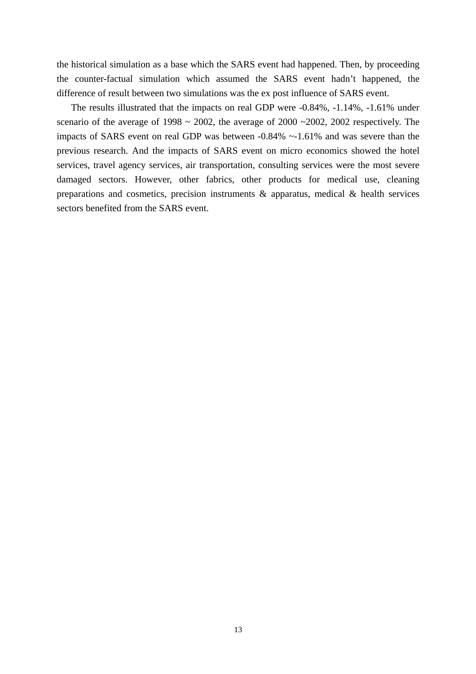the historical simulation as a base which the SARS event had happened. Then, by proceeding the counter-factual simulation which assumed the SARS event hadn't happened, the difference of result between two simulations was the ex post influence of SARS event.

The results illustrated that the impacts on real GDP were -0.84%, -1.14%, -1.61% under scenario of the average of 1998  $\sim$  2002, the average of 2000  $\sim$  2002, 2002 respectively. The impacts of SARS event on real GDP was between -0.84% ~-1.61% and was severe than the previous research. And the impacts of SARS event on micro economics showed the hotel services, travel agency services, air transportation, consulting services were the most severe damaged sectors. However, other fabrics, other products for medical use, cleaning preparations and cosmetics, precision instruments & apparatus, medical & health services sectors benefited from the SARS event.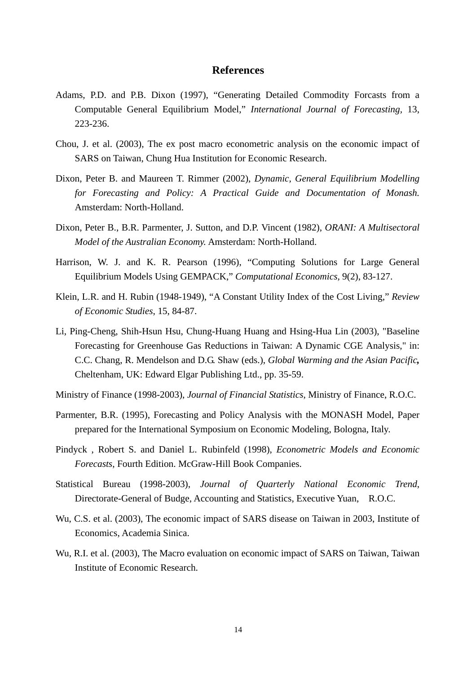# **References**

- Adams, P.D. and P.B. Dixon (1997), "Generating Detailed Commodity Forcasts from a Computable General Equilibrium Model," *International Journal of Forecasting,* 13, 223-236.
- Chou, J. et al. (2003), The ex post macro econometric analysis on the economic impact of SARS on Taiwan, Chung Hua Institution for Economic Research.
- Dixon, Peter B. and Maureen T. Rimmer (2002), *Dynamic, General Equilibrium Modelling for Forecasting and Policy: A Practical Guide and Documentation of Monash.*  Amsterdam: North-Holland.
- Dixon, Peter B., B.R. Parmenter, J. Sutton, and D.P. Vincent (1982), *ORANI: A Multisectoral Model of the Australian Economy.* Amsterdam: North-Holland.
- Harrison, W. J. and K. R. Pearson (1996), "Computing Solutions for Large General Equilibrium Models Using GEMPACK," *Computational Economics,* 9(2), 83-127.
- Klein, L.R. and H. Rubin (1948-1949), "A Constant Utility Index of the Cost Living," *Review of Economic Studies*, 15, 84-87.
- Li, Ping-Cheng, Shih-Hsun Hsu, Chung-Huang Huang and Hsing-Hua Lin (2003), "Baseline Forecasting for Greenhouse Gas Reductions in Taiwan: A Dynamic CGE Analysis," in: C.C. Chang, R. Mendelson and D.G. Shaw (eds.), *Global Warming and the Asian Pacific,* Cheltenham, UK: Edward Elgar Publishing Ltd., pp. 35-59.
- Ministry of Finance (1998-2003), *Journal of Financial Statistics*, Ministry of Finance, R.O.C.
- Parmenter, B.R. (1995), Forecasting and Policy Analysis with the MONASH Model, Paper prepared for the International Symposium on Economic Modeling, Bologna, Italy.
- Pindyck , Robert S. and Daniel L. Rubinfeld (1998), *Econometric Models and Economic Forecasts*, Fourth Edition. McGraw-Hill Book Companies.
- Statistical Bureau (1998-2003), *Journal of Quarterly National Economic Trend*, Directorate-General of Budge, Accounting and Statistics, Executive Yuan, R.O.C.
- Wu, C.S. et al. (2003), The economic impact of SARS disease on Taiwan in 2003, Institute of Economics, Academia Sinica.
- Wu, R.I. et al. (2003), The Macro evaluation on economic impact of SARS on Taiwan, Taiwan Institute of Economic Research.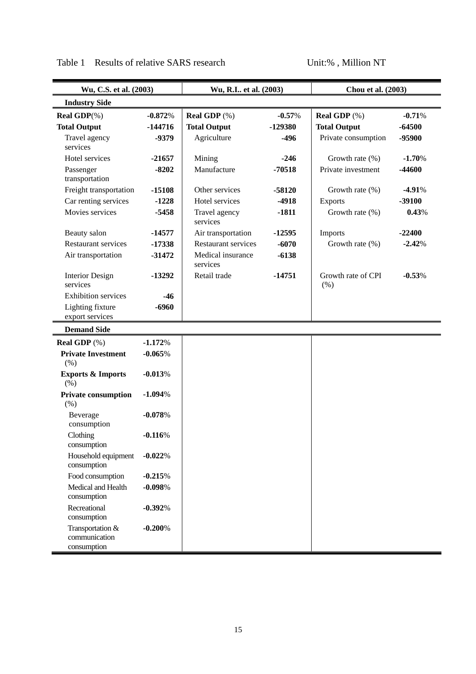| Wu, C.S. et al. (2003)                           |           | Wu, R.I et al. (2003)         |          | Chou et al. (2003)         |          |
|--------------------------------------------------|-----------|-------------------------------|----------|----------------------------|----------|
| <b>Industry Side</b>                             |           |                               |          |                            |          |
| <b>Real GDP</b> $(\%)$                           | $-0.872%$ | Real GDP (%)                  | $-0.57%$ | <b>Real GDP</b> $(\%)$     | $-0.71%$ |
| <b>Total Output</b>                              | $-144716$ | <b>Total Output</b>           | -129380  | <b>Total Output</b>        | $-64500$ |
| Travel agency                                    | -9379     | Agriculture                   | $-496$   | Private consumption        | -95900   |
| services                                         |           |                               | $-246$   |                            |          |
| Hotel services                                   | $-21657$  | Mining                        |          | Growth rate $(\% )$        | $-1.70%$ |
| Passenger<br>transportation                      | $-8202$   | Manufacture                   | $-70518$ | Private investment         | -44600   |
| Freight transportation                           | $-15108$  | Other services                | $-58120$ | Growth rate $(\%)$         | $-4.91%$ |
| Car renting services                             | $-1228$   | Hotel services                | $-4918$  | Exports                    | $-39100$ |
| Movies services                                  | $-5458$   | Travel agency<br>services     | $-1811$  | Growth rate $(\% )$        | 0.43%    |
| Beauty salon                                     | $-14577$  | Air transportation            | $-12595$ | Imports                    | $-22400$ |
| <b>Restaurant services</b>                       | $-17338$  | <b>Restaurant services</b>    | $-6070$  | Growth rate $(\% )$        | $-2.42%$ |
| Air transportation                               | $-31472$  | Medical insurance<br>services | $-6138$  |                            |          |
| <b>Interior Design</b><br>services               | -13292    | Retail trade                  | $-14751$ | Growth rate of CPI<br>(% ) | $-0.53%$ |
| <b>Exhibition services</b>                       | $-46$     |                               |          |                            |          |
| Lighting fixture<br>export services              | $-6960$   |                               |          |                            |          |
| <b>Demand Side</b>                               |           |                               |          |                            |          |
| <b>Real GDP</b> $(\%)$                           | $-1.172%$ |                               |          |                            |          |
| <b>Private Investment</b><br>(% )                | $-0.065%$ |                               |          |                            |          |
| <b>Exports &amp; Imports</b><br>(% )             | $-0.013%$ |                               |          |                            |          |
| <b>Private consumption</b><br>(% )               | $-1.094%$ |                               |          |                            |          |
| Beverage<br>consumption                          | $-0.078%$ |                               |          |                            |          |
| Clothing<br>consumption                          | $-0.116%$ |                               |          |                            |          |
| Household equipment<br>consumption               | $-0.022%$ |                               |          |                            |          |
| Food consumption                                 | $-0.215%$ |                               |          |                            |          |
| Medical and Health<br>consumption                | $-0.098%$ |                               |          |                            |          |
| Recreational<br>consumption                      | $-0.392%$ |                               |          |                            |          |
| Transportation &<br>communication<br>consumption | $-0.200%$ |                               |          |                            |          |

# Table 1 Results of relative SARS research Unit:%, Million NT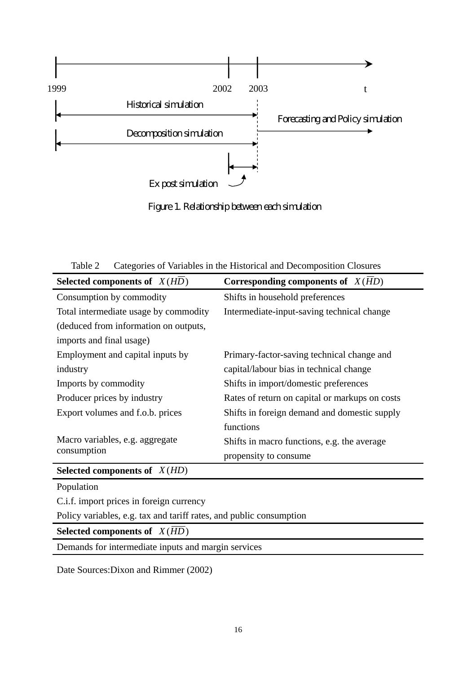

Figure 1. Relationship between each simulation

Table 2 Categories of Variables in the Historical and Decomposition Closures

| Selected components of $X(HD)$        | Corresponding components of $X(HD)$            |
|---------------------------------------|------------------------------------------------|
| Consumption by commodity              | Shifts in household preferences                |
| Total intermediate usage by commodity | Intermediate-input-saving technical change     |
| (deduced from information on outputs, |                                                |
| imports and final usage)              |                                                |
| Employment and capital inputs by      | Primary-factor-saving technical change and     |
| industry                              | capital/labour bias in technical change        |
| Imports by commodity                  | Shifts in import/domestic preferences          |
| Producer prices by industry           | Rates of return on capital or markups on costs |
| Export volumes and f.o.b. prices      | Shifts in foreign demand and domestic supply   |
|                                       | functions                                      |
| Macro variables, e.g. aggregate       | Shifts in macro functions, e.g. the average    |
| consumption                           | propensity to consume                          |
| Selected components of $X(HD)$        |                                                |
| Population                            |                                                |
|                                       |                                                |

C.i.f. import prices in foreign currency

Policy variables, e.g. tax and tariff rates, and public consumption

**Selected components of**  $X(\overline{HD})$ 

Demands for intermediate inputs and margin services

Date Sources:Dixon and Rimmer (2002)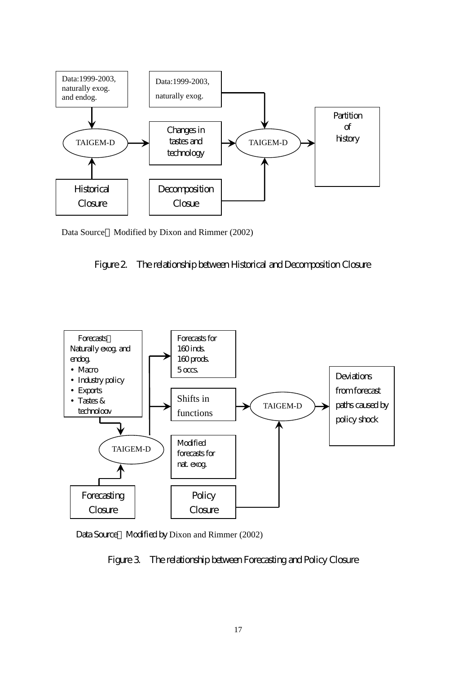

Data Source Modified by Dixon and Rimmer (2002)





Data Source Modified by Dixon and Rimmer (2002)

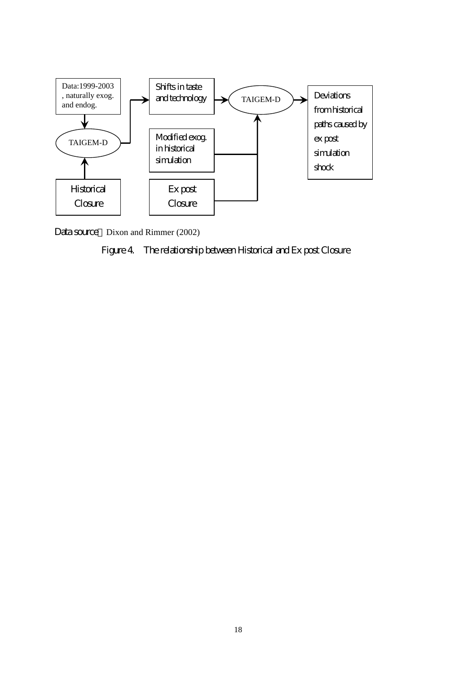

Data source Dixon and Rimmer (2002)

# Figure 4. The relationship between Historical and Ex post Closure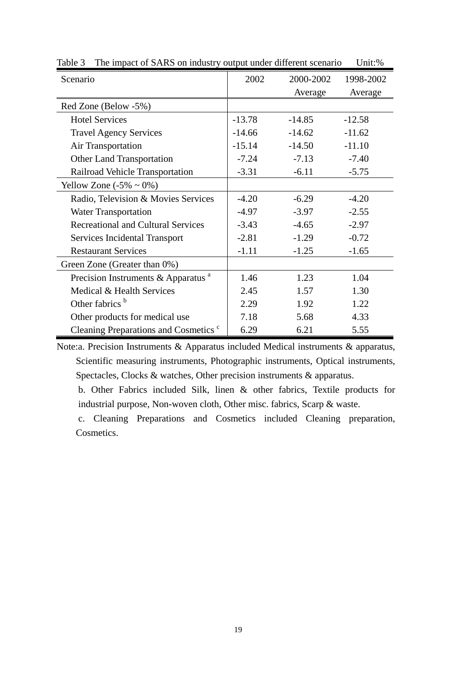| Scenario                                         | 2002     | 2000-2002 | 1998-2002 |
|--------------------------------------------------|----------|-----------|-----------|
|                                                  |          | Average   | Average   |
| Red Zone (Below -5%)                             |          |           |           |
| <b>Hotel Services</b>                            | $-13.78$ | $-14.85$  | $-12.58$  |
| <b>Travel Agency Services</b>                    | $-14.66$ | $-14.62$  | $-11.62$  |
| Air Transportation                               | $-15.14$ | $-14.50$  | $-11.10$  |
| <b>Other Land Transportation</b>                 | $-7.24$  | $-7.13$   | $-7.40$   |
| Railroad Vehicle Transportation                  | $-3.31$  | $-6.11$   | $-5.75$   |
| Yellow Zone $(-5\% \sim 0\%)$                    |          |           |           |
| Radio, Television & Movies Services              | $-4.20$  | $-6.29$   | $-4.20$   |
| <b>Water Transportation</b>                      | $-4.97$  | $-3.97$   | $-2.55$   |
| <b>Recreational and Cultural Services</b>        | $-3.43$  | $-4.65$   | $-2.97$   |
| Services Incidental Transport                    | $-2.81$  | $-1.29$   | $-0.72$   |
| <b>Restaurant Services</b>                       | $-1.11$  | $-1.25$   | $-1.65$   |
| Green Zone (Greater than 0%)                     |          |           |           |
| Precision Instruments & Apparatus <sup>a</sup>   | 1.46     | 1.23      | 1.04      |
| Medical & Health Services                        | 2.45     | 1.57      | 1.30      |
| Other fabrics <sup>b</sup>                       | 2.29     | 1.92      | 1.22      |
| Other products for medical use                   | 7.18     | 5.68      | 4.33      |
| Cleaning Preparations and Cosmetics <sup>c</sup> | 6.29     | 6.21      | 5.55      |

Table 3 The impact of SARS on industry output under different scenario Unit:%

Note:a. Precision Instruments & Apparatus included Medical instruments & apparatus, Scientific measuring instruments, Photographic instruments, Optical instruments, Spectacles, Clocks & watches, Other precision instruments & apparatus.

b. Other Fabrics included Silk, linen & other fabrics, Textile products for industrial purpose, Non-woven cloth, Other misc. fabrics, Scarp & waste.

c. Cleaning Preparations and Cosmetics included Cleaning preparation, Cosmetics.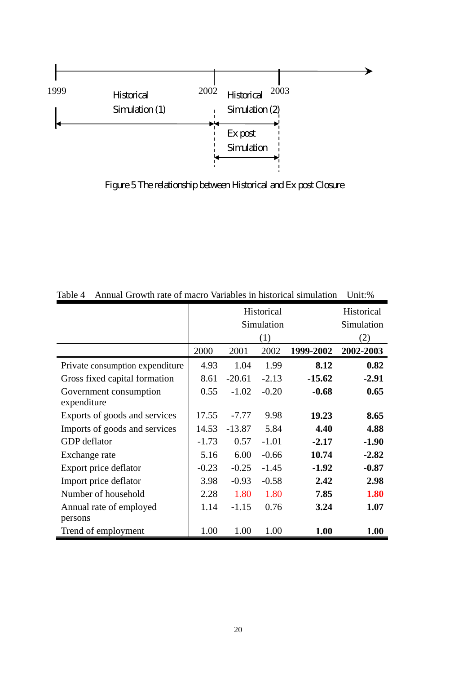

Figure 5 The relationship between Historical and Ex post Closure

|                                 |         | Historical |         |           |             |  |
|---------------------------------|---------|------------|---------|-----------|-------------|--|
|                                 |         | Simulation |         |           |             |  |
|                                 |         |            | (1)     |           | (2)         |  |
|                                 | 2000    | 2001       | 2002    | 1999-2002 | 2002-2003   |  |
| Private consumption expenditure | 4.93    | 1.04       | 1.99    | 8.12      | 0.82        |  |
| Gross fixed capital formation   | 8.61    | $-20.61$   | $-2.13$ | $-15.62$  | $-2.91$     |  |
| Government consumption          | 0.55    | $-1.02$    | $-0.20$ | $-0.68$   | 0.65        |  |
| expenditure                     |         |            |         |           |             |  |
| Exports of goods and services   | 17.55   | $-7.77$    | 9.98    | 19.23     | 8.65        |  |
| Imports of goods and services   | 14.53   | $-13.87$   | 5.84    | 4.40      | 4.88        |  |
| <b>GDP</b> deflator             | $-1.73$ | 0.57       | $-1.01$ | $-2.17$   | $-1.90$     |  |
| Exchange rate                   | 5.16    | 6.00       | $-0.66$ | 10.74     | $-2.82$     |  |
| Export price deflator           | $-0.23$ | $-0.25$    | $-1.45$ | $-1.92$   | $-0.87$     |  |
| Import price deflator           | 3.98    | $-0.93$    | $-0.58$ | 2.42      | 2.98        |  |
| Number of household             | 2.28    | 1.80       | 1.80    | 7.85      | <b>1.80</b> |  |
| Annual rate of employed         | 1.14    | $-1.15$    | 0.76    | 3.24      | 1.07        |  |
| persons                         |         |            |         |           |             |  |
| Trend of employment             | 1.00    | 1.00       | 1.00    | 1.00      | 1.00        |  |

Table 4 Annual Growth rate of macro Variables in historical simulation Unit:%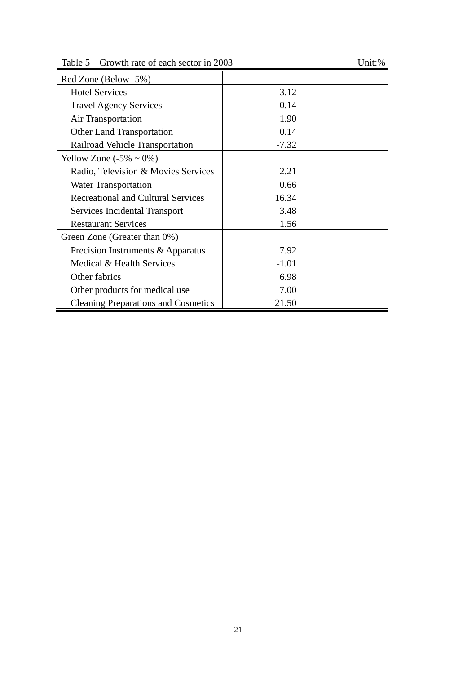Table 5 Growth rate of each sector in 2003 Unit: % Red Zone (Below -5%) Hotel Services 4.12 Travel Agency Services 0.14 Air Transportation 1.90 Other Land Transportation 0.14 Railroad Vehicle Transportation -7.32 Yellow Zone  $(-5\% \sim 0\%)$ Radio, Television & Movies Services 2.21 Water Transportation 0.66 Recreational and Cultural Services 16.34 Services Incidental Transport 3.48 Restaurant Services 1.56 Green Zone (Greater than 0%) Precision Instruments & Apparatus 7.92 Medical & Health Services 1.01 Other fabrics 6.98 Other products for medical use 7.00 Cleaning Preparations and Cosmetics 21.50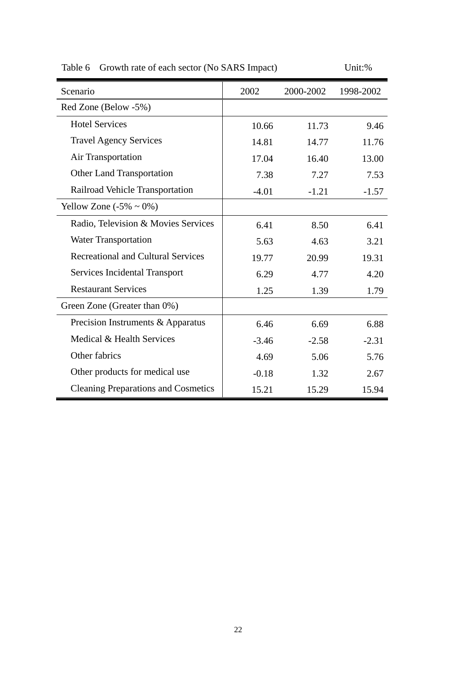| Scenario                                   | 2002    | 2000-2002 | 1998-2002 |
|--------------------------------------------|---------|-----------|-----------|
| Red Zone (Below -5%)                       |         |           |           |
| <b>Hotel Services</b>                      | 10.66   | 11.73     | 9.46      |
| <b>Travel Agency Services</b>              | 14.81   | 14.77     | 11.76     |
| Air Transportation                         | 17.04   | 16.40     | 13.00     |
| Other Land Transportation                  | 7.38    | 7.27      | 7.53      |
| Railroad Vehicle Transportation            | $-4.01$ | $-1.21$   | $-1.57$   |
| Yellow Zone $(-5\% \sim 0\%)$              |         |           |           |
| Radio, Television & Movies Services        | 6.41    | 8.50      | 6.41      |
| <b>Water Transportation</b>                | 5.63    | 4.63      | 3.21      |
| <b>Recreational and Cultural Services</b>  | 19.77   | 20.99     | 19.31     |
| Services Incidental Transport              | 6.29    | 4.77      | 4.20      |
| <b>Restaurant Services</b>                 | 1.25    | 1.39      | 1.79      |
| Green Zone (Greater than 0%)               |         |           |           |
| Precision Instruments & Apparatus          | 6.46    | 6.69      | 6.88      |
| Medical & Health Services                  | $-3.46$ | $-2.58$   | $-2.31$   |
| Other fabrics                              | 4.69    | 5.06      | 5.76      |
| Other products for medical use             | $-0.18$ | 1.32      | 2.67      |
| <b>Cleaning Preparations and Cosmetics</b> | 15.21   | 15.29     | 15.94     |

Table 6 Growth rate of each sector (No SARS Impact) Unit: %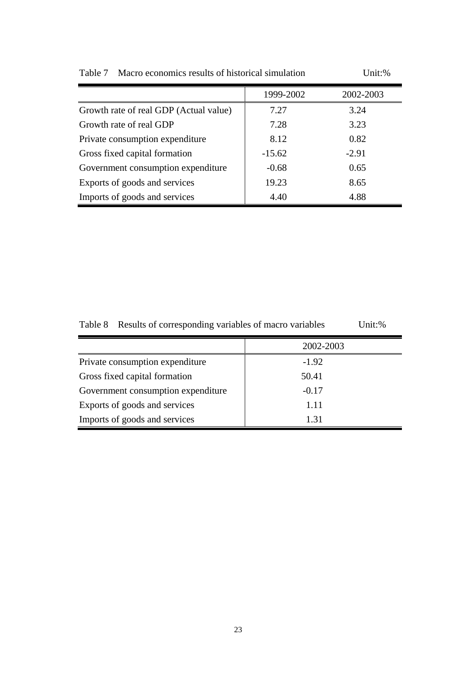|                                        | 1999-2002 | 2002-2003 |
|----------------------------------------|-----------|-----------|
| Growth rate of real GDP (Actual value) | 7.27      | 3.24      |
| Growth rate of real GDP                | 7.28      | 3.23      |
| Private consumption expenditure        | 8.12      | 0.82      |
| Gross fixed capital formation          | $-15.62$  | $-2.91$   |
| Government consumption expenditure     | $-0.68$   | 0.65      |
| Exports of goods and services          | 19.23     | 8.65      |
| Imports of goods and services          | 4.40      | 4.88      |

Table 7 Macro economics results of historical simulation Unit:%

| Table 8 Results of corresponding variables of macro variables | Unit:% |
|---------------------------------------------------------------|--------|
|                                                               |        |

|                                    | 2002-2003 |
|------------------------------------|-----------|
| Private consumption expenditure    | $-1.92$   |
| Gross fixed capital formation      | 50.41     |
| Government consumption expenditure | $-0.17$   |
| Exports of goods and services      | 1.11      |
| Imports of goods and services      | 1.31      |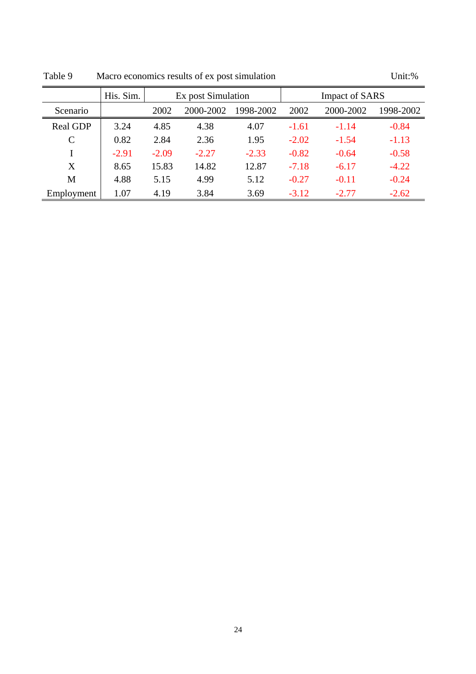|                 | His. Sim. | Ex post Simulation |           |           |         | <b>Impact of SARS</b> |           |
|-----------------|-----------|--------------------|-----------|-----------|---------|-----------------------|-----------|
| Scenario        |           | 2002               | 2000-2002 | 1998-2002 | 2002    | 2000-2002             | 1998-2002 |
| <b>Real GDP</b> | 3.24      | 4.85               | 4.38      | 4.07      | $-1.61$ | $-1.14$               | $-0.84$   |
| C               | 0.82      | 2.84               | 2.36      | 1.95      | $-2.02$ | $-1.54$               | $-1.13$   |
|                 | $-2.91$   | $-2.09$            | $-2.27$   | $-2.33$   | $-0.82$ | $-0.64$               | $-0.58$   |
| X               | 8.65      | 15.83              | 14.82     | 12.87     | $-7.18$ | $-6.17$               | $-4.22$   |
| M               | 4.88      | 5.15               | 4.99      | 5.12      | $-0.27$ | $-0.11$               | $-0.24$   |
| Employment      | 1.07      | 4.19               | 3.84      | 3.69      | $-3.12$ | $-2.77$               | $-2.62$   |

Table 9 Macro economics results of ex post simulation Unit:%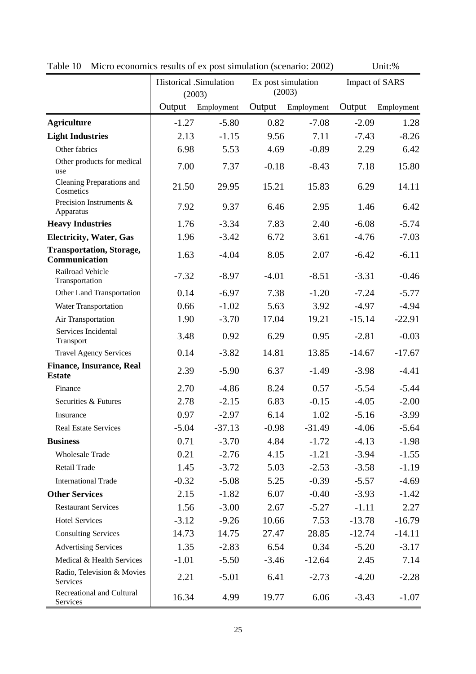|                                                  | Historical .Simulation<br>Ex post simulation<br>(2003)<br>(2003) |                   |         | <b>Impact of SARS</b> |          |            |
|--------------------------------------------------|------------------------------------------------------------------|-------------------|---------|-----------------------|----------|------------|
|                                                  |                                                                  | Output Employment | Output  | Employment            | Output   | Employment |
| <b>Agriculture</b>                               | $-1.27$                                                          | $-5.80$           | 0.82    | $-7.08$               | $-2.09$  | 1.28       |
| <b>Light Industries</b>                          | 2.13                                                             | $-1.15$           | 9.56    | 7.11                  | $-7.43$  | $-8.26$    |
| Other fabrics                                    | 6.98                                                             | 5.53              | 4.69    | $-0.89$               | 2.29     | 6.42       |
| Other products for medical<br>use                | 7.00                                                             | 7.37              | $-0.18$ | $-8.43$               | 7.18     | 15.80      |
| Cleaning Preparations and<br>Cosmetics           | 21.50                                                            | 29.95             | 15.21   | 15.83                 | 6.29     | 14.11      |
| Precision Instruments &<br>Apparatus             | 7.92                                                             | 9.37              | 6.46    | 2.95                  | 1.46     | 6.42       |
| <b>Heavy Industries</b>                          | 1.76                                                             | $-3.34$           | 7.83    | 2.40                  | $-6.08$  | $-5.74$    |
| <b>Electricity, Water, Gas</b>                   | 1.96                                                             | $-3.42$           | 6.72    | 3.61                  | $-4.76$  | $-7.03$    |
| <b>Transportation, Storage,</b><br>Communication | 1.63                                                             | $-4.04$           | 8.05    | 2.07                  | $-6.42$  | $-6.11$    |
| Railroad Vehicle<br>Transportation               | $-7.32$                                                          | $-8.97$           | $-4.01$ | $-8.51$               | $-3.31$  | $-0.46$    |
| Other Land Transportation                        | 0.14                                                             | $-6.97$           | 7.38    | $-1.20$               | $-7.24$  | $-5.77$    |
| Water Transportation                             | 0.66                                                             | $-1.02$           | 5.63    | 3.92                  | $-4.97$  | $-4.94$    |
| Air Transportation                               | 1.90                                                             | $-3.70$           | 17.04   | 19.21                 | $-15.14$ | $-22.91$   |
| Services Incidental<br>Transport                 | 3.48                                                             | 0.92              | 6.29    | 0.95                  | $-2.81$  | $-0.03$    |
| <b>Travel Agency Services</b>                    | 0.14                                                             | $-3.82$           | 14.81   | 13.85                 | $-14.67$ | $-17.67$   |
| <b>Finance, Insurance, Real</b><br><b>Estate</b> | 2.39                                                             | $-5.90$           | 6.37    | $-1.49$               | $-3.98$  | $-4.41$    |
| Finance                                          | 2.70                                                             | $-4.86$           | 8.24    | 0.57                  | $-5.54$  | $-5.44$    |
| Securities & Futures                             | 2.78                                                             | $-2.15$           | 6.83    | $-0.15$               | $-4.05$  | $-2.00$    |
| Insurance                                        | 0.97                                                             | $-2.97$           | 6.14    | 1.02                  | $-5.16$  | $-3.99$    |
| Real Estate Services                             | $-5.04$                                                          | $-37.13$          | $-0.98$ | $-31.49$              | $-4.06$  | $-5.64$    |
| <b>Business</b>                                  | 0.71                                                             | $-3.70$           | 4.84    | $-1.72$               | $-4.13$  | $-1.98$    |
| <b>Wholesale Trade</b>                           | 0.21                                                             | $-2.76$           | 4.15    | $-1.21$               | $-3.94$  | $-1.55$    |
| Retail Trade                                     | 1.45                                                             | $-3.72$           | 5.03    | $-2.53$               | $-3.58$  | $-1.19$    |
| <b>International Trade</b>                       | $-0.32$                                                          | $-5.08$           | 5.25    | $-0.39$               | $-5.57$  | $-4.69$    |
| <b>Other Services</b>                            | 2.15                                                             | $-1.82$           | 6.07    | $-0.40$               | $-3.93$  | $-1.42$    |
| <b>Restaurant Services</b>                       | 1.56                                                             | $-3.00$           | 2.67    | $-5.27$               | $-1.11$  | 2.27       |
| <b>Hotel Services</b>                            | $-3.12$                                                          | $-9.26$           | 10.66   | 7.53                  | $-13.78$ | $-16.79$   |
| <b>Consulting Services</b>                       | 14.73                                                            | 14.75             | 27.47   | 28.85                 | $-12.74$ | $-14.11$   |
| <b>Advertising Services</b>                      | 1.35                                                             | $-2.83$           | 6.54    | 0.34                  | $-5.20$  | $-3.17$    |
| Medical & Health Services                        | $-1.01$                                                          | $-5.50$           | $-3.46$ | $-12.64$              | 2.45     | 7.14       |
| Radio, Television & Movies<br>Services           | 2.21                                                             | $-5.01$           | 6.41    | $-2.73$               | $-4.20$  | $-2.28$    |
| Recreational and Cultural<br>Services            | 16.34                                                            | 4.99              | 19.77   | 6.06                  | $-3.43$  | $-1.07$    |

Table 10 Micro economics results of ex post simulation (scenario: 2002) Unit:%